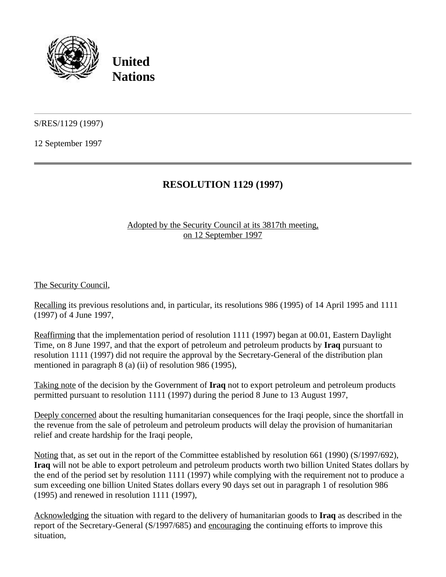

**United Nations**

S/RES/1129 (1997)

12 September 1997

## **RESOLUTION 1129 (1997)**

## Adopted by the Security Council at its 3817th meeting, on 12 September 1997

The Security Council,

Recalling its previous resolutions and, in particular, its resolutions 986 (1995) of 14 April 1995 and 1111 (1997) of 4 June 1997,

Reaffirming that the implementation period of resolution 1111 (1997) began at 00.01, Eastern Daylight Time, on 8 June 1997, and that the export of petroleum and petroleum products by **Iraq** pursuant to resolution 1111 (1997) did not require the approval by the Secretary-General of the distribution plan mentioned in paragraph 8 (a) (ii) of resolution 986 (1995),

Taking note of the decision by the Government of **Iraq** not to export petroleum and petroleum products permitted pursuant to resolution 1111 (1997) during the period 8 June to 13 August 1997,

Deeply concerned about the resulting humanitarian consequences for the Iraqi people, since the shortfall in the revenue from the sale of petroleum and petroleum products will delay the provision of humanitarian relief and create hardship for the Iraqi people,

Noting that, as set out in the report of the Committee established by resolution 661 (1990) (S/1997/692), **Iraq** will not be able to export petroleum and petroleum products worth two billion United States dollars by the end of the period set by resolution 1111 (1997) while complying with the requirement not to produce a sum exceeding one billion United States dollars every 90 days set out in paragraph 1 of resolution 986 (1995) and renewed in resolution 1111 (1997),

Acknowledging the situation with regard to the delivery of humanitarian goods to **Iraq** as described in the report of the Secretary-General (S/1997/685) and encouraging the continuing efforts to improve this situation,